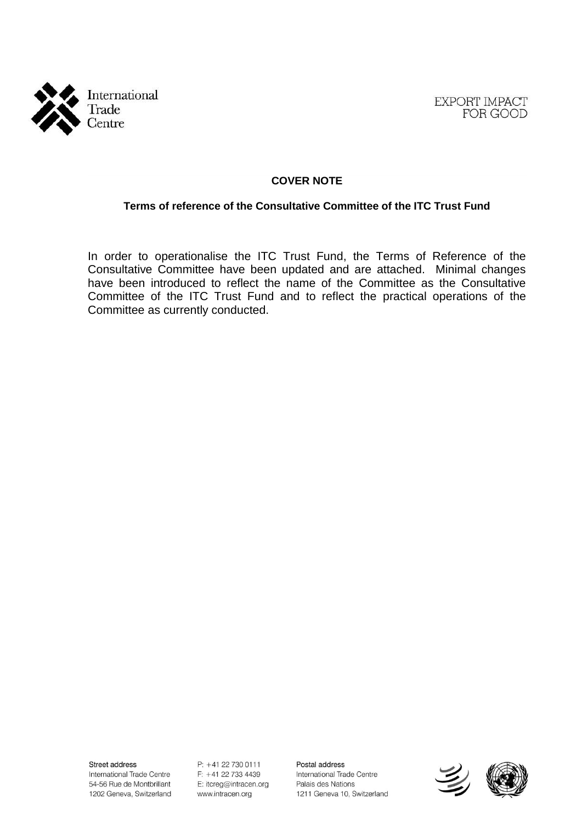



# **COVER NOTE**

### **Terms of reference of the Consultative Committee of the ITC Trust Fund**

In order to operationalise the ITC Trust Fund, the Terms of Reference of the Consultative Committee have been updated and are attached. Minimal changes have been introduced to reflect the name of the Committee as the Consultative Committee of the ITC Trust Fund and to reflect the practical operations of the Committee as currently conducted.

Street address International Trade Centre 54-56 Rue de Montbrillant 1202 Geneva, Switzerland

P: +41 22 730 0111 F: +41 22 733 4439 E: itcreg@intracen.org www.intracen.org

Postal address International Trade Centre Palais des Nations 1211 Geneva 10, Switzerland



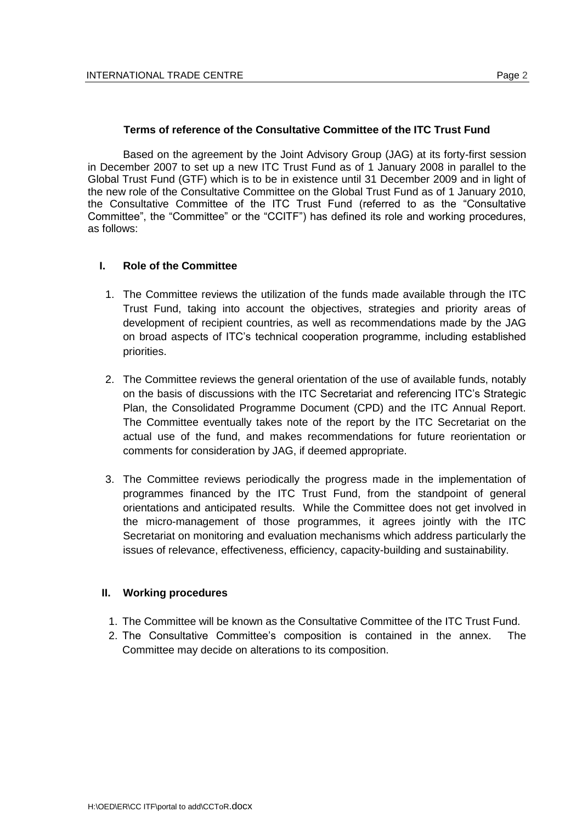### **Terms of reference of the Consultative Committee of the ITC Trust Fund**

Based on the agreement by the Joint Advisory Group (JAG) at its forty-first session in December 2007 to set up a new ITC Trust Fund as of 1 January 2008 in parallel to the Global Trust Fund (GTF) which is to be in existence until 31 December 2009 and in light of the new role of the Consultative Committee on the Global Trust Fund as of 1 January 2010, the Consultative Committee of the ITC Trust Fund (referred to as the "Consultative Committee", the "Committee" or the "CCITF") has defined its role and working procedures, as follows:

#### **I. Role of the Committee**

- 1. The Committee reviews the utilization of the funds made available through the ITC Trust Fund, taking into account the objectives, strategies and priority areas of development of recipient countries, as well as recommendations made by the JAG on broad aspects of ITC's technical cooperation programme, including established priorities.
- 2. The Committee reviews the general orientation of the use of available funds, notably on the basis of discussions with the ITC Secretariat and referencing ITC's Strategic Plan, the Consolidated Programme Document (CPD) and the ITC Annual Report. The Committee eventually takes note of the report by the ITC Secretariat on the actual use of the fund, and makes recommendations for future reorientation or comments for consideration by JAG, if deemed appropriate.
- 3. The Committee reviews periodically the progress made in the implementation of programmes financed by the ITC Trust Fund, from the standpoint of general orientations and anticipated results. While the Committee does not get involved in the micro-management of those programmes, it agrees jointly with the ITC Secretariat on monitoring and evaluation mechanisms which address particularly the issues of relevance, effectiveness, efficiency, capacity-building and sustainability.

### **II. Working procedures**

- 1. The Committee will be known as the Consultative Committee of the ITC Trust Fund.
- 2. The Consultative Committee's composition is contained in the annex. The Committee may decide on alterations to its composition.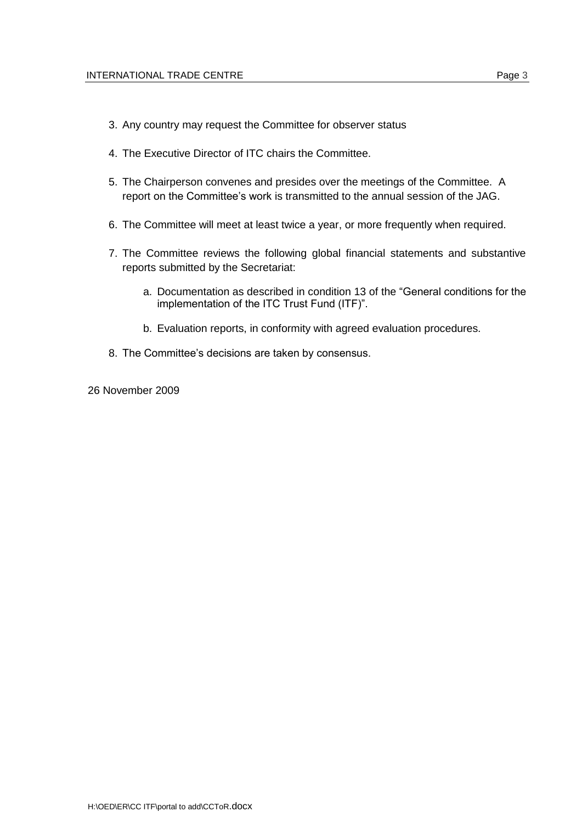- 3. Any country may request the Committee for observer status
- 4. The Executive Director of ITC chairs the Committee.
- 5. The Chairperson convenes and presides over the meetings of the Committee. A report on the Committee's work is transmitted to the annual session of the JAG.
- 6. The Committee will meet at least twice a year, or more frequently when required.
- 7. The Committee reviews the following global financial statements and substantive reports submitted by the Secretariat:
	- a. Documentation as described in condition 13 of the "General conditions for the implementation of the ITC Trust Fund (ITF)".
	- b. Evaluation reports, in conformity with agreed evaluation procedures.
- 8. The Committee's decisions are taken by consensus.
- 26 November 2009